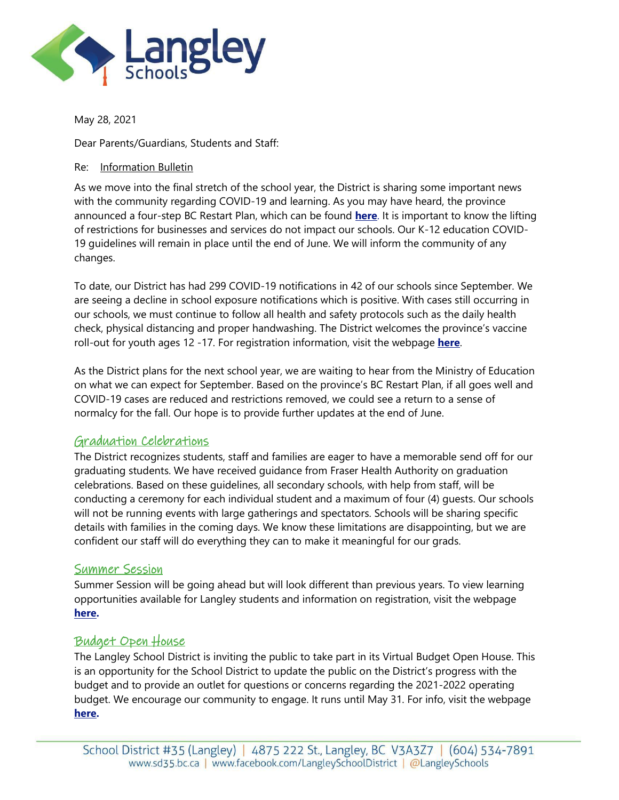

May 28, 2021

Dear Parents/Guardians, Students and Staff:

### Re: Information Bulletin

As we move into the final stretch of the school year, the District is sharing some important news with the community regarding COVID-19 and learning. As you may have heard, the province announced a four-step BC Restart Plan, which can be found **[here](https://www2.gov.bc.ca/gov/content/covid-19/info/restart)**. It is important to know the lifting of restrictions for businesses and services do not impact our schools. Our K-12 education COVID-19 guidelines will remain in place until the end of June. We will inform the community of any changes.

To date, our District has had 299 COVID-19 notifications in 42 of our schools since September. We are seeing a decline in school exposure notifications which is positive. With cases still occurring in our schools, we must continue to follow all health and safety protocols such as the daily health check, physical distancing and proper handwashing. The District welcomes the province's vaccine roll-out for youth ages 12 -17. For registration information, visit the webpage **[here](https://www2.gov.bc.ca/gov/content/covid-19/vaccine/youth)**.

As the District plans for the next school year, we are waiting to hear from the Ministry of Education on what we can expect for September. Based on the province's BC Restart Plan, if all goes well and COVID-19 cases are reduced and restrictions removed, we could see a return to a sense of normalcy for the fall. Our hope is to provide further updates at the end of June.

# Graduation Celebrations

The District recognizes students, staff and families are eager to have a memorable send off for our graduating students. We have received guidance from Fraser Health Authority on graduation celebrations. Based on these guidelines, all secondary schools, with help from staff, will be conducting a ceremony for each individual student and a maximum of four (4) guests. Our schools will not be running events with large gatherings and spectators. Schools will be sharing specific details with families in the coming days. We know these limitations are disappointing, but we are confident our staff will do everything they can to make it meaningful for our grads.

# Summer Session

Summer Session will be going ahead but will look different than previous years. To view learning opportunities available for Langley students and information on registration, visit the webpage **[here.](https://www.sd35.bc.ca/schools/summer-session/)**

# Budget Open House

The Langley School District is inviting the public to take part in its Virtual Budget Open House. This is an opportunity for the School District to update the public on the District's progress with the budget and to provide an outlet for questions or concerns regarding the 2021-2022 operating budget. We encourage our community to engage. It runs until May 31. For info, visit the webpage **[here.](https://www.sd35.bc.ca/news-events/district-board-news/view/virtual-budget-open-house-2021-2022/)**